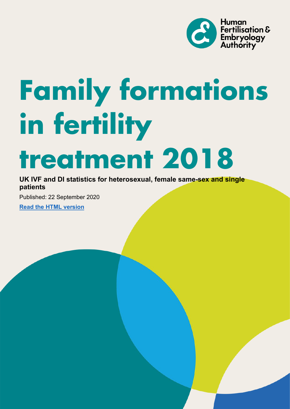

# **Family formations in fertility treatment 2018**

## **UK IVF and DI statistics for heterosexual, female same-sex and single patients**

Published: 22 September 2020

**[Read the HTML version](https://www.hfea.gov.uk/about-us/publications/research-and-data/family-formations-in-fertility-treatment-2018/)**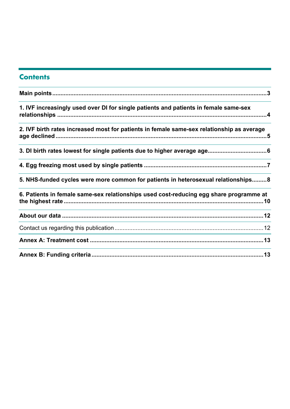## **Contents**

| 1. IVF increasingly used over DI for single patients and patients in female same-sex      |
|-------------------------------------------------------------------------------------------|
| 2. IVF birth rates increased most for patients in female same-sex relationship as average |
|                                                                                           |
|                                                                                           |
| 5. NHS-funded cycles were more common for patients in heterosexual relationships8         |
| 6. Patients in female same-sex relationships used cost-reducing egg share programme at    |
|                                                                                           |
|                                                                                           |
|                                                                                           |
|                                                                                           |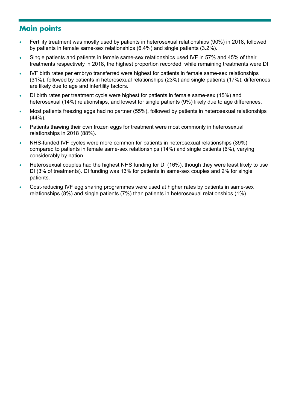# <span id="page-2-0"></span>**Main points**

- Fertility treatment was mostly used by patients in heterosexual relationships (90%) in 2018, followed by patients in female same-sex relationships (6.4%) and single patients (3.2%).
- Single patients and patients in female same-sex relationships used IVF in 57% and 45% of their treatments respectively in 2018, the highest proportion recorded, while remaining treatments were DI.
- IVF birth rates per embryo transferred were highest for patients in female same-sex relationships (31%), followed by patients in heterosexual relationships (23%) and single patients (17%); differences are likely due to age and infertility factors.
- DI birth rates per treatment cycle were highest for patients in female same-sex (15%) and heterosexual (14%) relationships, and lowest for single patients (9%) likely due to age differences.
- Most patients freezing eggs had no partner (55%), followed by patients in heterosexual relationships (44%).
- Patients thawing their own frozen eggs for treatment were most commonly in heterosexual relationships in 2018 (88%).
- NHS-funded IVF cycles were more common for patients in heterosexual relationships (39%) compared to patients in female same-sex relationships (14%) and single patients (6%), varying considerably by nation.
- Heterosexual couples had the highest NHS funding for DI (16%), though they were least likely to use DI (3% of treatments). DI funding was 13% for patients in same-sex couples and 2% for single patients.
- Cost-reducing IVF egg sharing programmes were used at higher rates by patients in same-sex relationships (8%) and single patients (7%) than patients in heterosexual relationships (1%).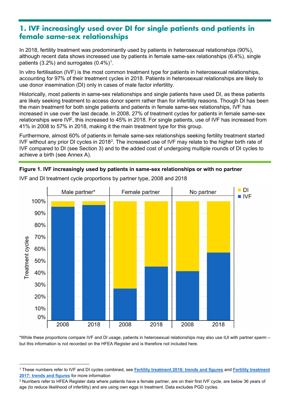## <span id="page-3-0"></span>**1. IVF increasingly used over DI for single patients and patients in female same-sex relationships**

In 2018, fertility treatment was predominantly used by patients in heterosexual relationships (90%), although recent data shows increased use by patients in female same-sex relationships (6.4%), single patients (3.2%) and surrogates  $(0.4\%)$ <sup>[1](#page-3-1)</sup>.

In vitro fertilisation (IVF) is the most common treatment type for patients in heterosexual relationships, accounting for 97% of their treatment cycles in 2018. Patients in heterosexual relationships are likely to use donor insemination (DI) only in cases of male factor infertility.

Historically, most patients in same-sex relationships and single patients have used DI, as these patients are likely seeking treatment to access donor sperm rather than for infertility reasons. Though DI has been the main treatment for both single patients and patients in female same-sex relationships, IVF has increased in use over the last decade. In 2008, 27% of treatment cycles for patients in female same-sex relationships were IVF, this increased to 45% in 2018. For single patients, use of IVF has increased from 41% in 2008 to 57% in 2018, making it the main treatment type for this group.

Furthermore, almost 60% of patients in female same-sex relationships seeking fertility treatment started IVF without any prior DI cycles in [2](#page-3-2)018<sup>2</sup>. The increased use of IVF may relate to the higher birth rate of IVF compared to DI (see Section 3) and to the added cost of undergoing multiple rounds of DI cycles to achieve a birth (see Annex A).





IVF and DI treatment cycle proportions by partner type, 2008 and 2018

\*While these proportions compare IVF and DI usage, patients in heterosexual relationships may also use IUI with partner sperm – but this information is not recorded on the HFEA Register and is therefore not included here.

<span id="page-3-1"></span><sup>1</sup> These numbers refer to IVF and DI cycles combined, see **[Fertility treatment 2018: trends and figures](https://www.hfea.gov.uk/about-us/publications/research-and-data/fertility-treatment-2018-trends-and-figures/)** and **[Fertility treatment](https://www.hfea.gov.uk/media/2894/fertility-treatment-2017-trends-and-figures-may-2019.pdf)  [2017: trends and figures](https://www.hfea.gov.uk/media/2894/fertility-treatment-2017-trends-and-figures-may-2019.pdf)** for more information

<span id="page-3-2"></span> $\overline{2}$  Numbers refer to HFEA Register data where patients have a female partner, are on their first IVF cycle, are below 36 years of age (to reduce likelihood of infertility) and are using own eggs in treatment. Data excludes PGD cycles.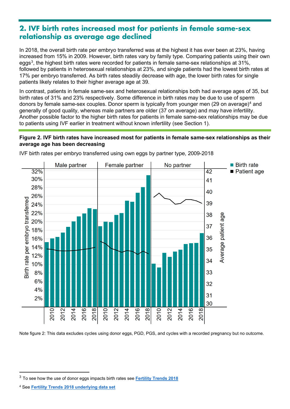## <span id="page-4-0"></span>**2. IVF birth rates increased most for patients in female same-sex relationship as average age declined**

In 2018, the overall birth rate per embryo transferred was at the highest it has ever been at 23%, having increased from 15% in 2009. However, birth rates vary by family type. Comparing patients using their own eggs $^3$  $^3$ , the highest birth rates were recorded for patients in female same-sex relationships at 31%, followed by patients in heterosexual relationships at 23%, and single patients had the lowest birth rates at 17% per embryo transferred. As birth rates steadily decrease with age, the lower birth rates for single patients likely relates to their higher average age at 39.

In contrast, patients in female same-sex and heterosexual relationships both had average ages of 35, but birth rates of 31% and 23% respectively. Some difference in birth rates may be due to use of sperm donors by female same-sex couples. Donor sperm is typically from younger men (29 on average)<sup>[4](#page-4-2)</sup> and generally of good quality, whereas male partners are older (37 on average) and may have infertility. Another possible factor to the higher birth rates for patients in female same-sex relationships may be due to patients using IVF earlier in treatment without known infertility (see Section 1).

#### **Figure 2. IVF birth rates have increased most for patients in female same-sex relationships as their average age has been decreasing**



IVF birth rates per embryo transferred using own eggs by partner type, 2009-2018

Note figure 2: This data excludes cycles using donor eggs, PGD, PGS, and cycles with a recorded pregnancy but no outcome.

<span id="page-4-1"></span><sup>3</sup> To see how the use of donor eggs impacts birth rates see **[Fertility Trends 2018](https://www.hfea.gov.uk/about-us/publications/research-and-data/fertility-treatment-2018-trends-and-figures/)**

<span id="page-4-2"></span><sup>4</sup> See **[Fertility Trends 2018 underlying data set](https://www.hfea.gov.uk/media/3141/underlying-data-tables-fertility-trends-2018.xlsx)**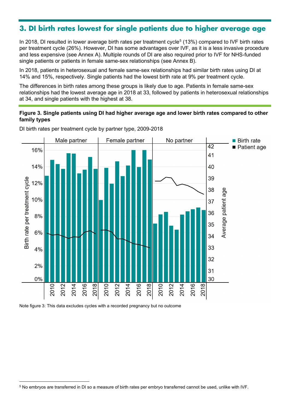# <span id="page-5-0"></span>**3. DI birth rates lowest for single patients due to higher average age**

In 2018, DI resulted in lower average birth rates per treatment cycle<sup>[5](#page-5-1)</sup> (13%) compared to IVF birth rates per treatment cycle (26%). However, DI has some advantages over IVF, as it is a less invasive procedure and less expensive (see Annex A). Multiple rounds of DI are also required prior to IVF for NHS-funded single patients or patients in female same-sex relationships (see Annex B).

In 2018, patients in heterosexual and female same-sex relationships had similar birth rates using DI at 14% and 15%, respectively. Single patients had the lowest birth rate at 9% per treatment cycle.

The differences in birth rates among these groups is likely due to age. Patients in female same-sex relationships had the lowest average age in 2018 at 33, followed by patients in heterosexual relationships at 34, and single patients with the highest at 38.

#### **Figure 3. Single patients using DI had higher average age and lower birth rates compared to other family types**



DI birth rates per treatment cycle by partner type, 2009-2018

Note figure 3: This data excludes cycles with a recorded pregnancy but no outcome

<span id="page-5-1"></span><sup>5</sup> No embryos are transferred in DI so a measure of birth rates per embryo transferred cannot be used, unlike with IVF.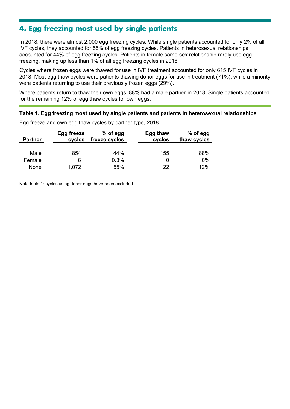# <span id="page-6-0"></span>**4. Egg freezing most used by single patients**

In 2018, there were almost 2,000 egg freezing cycles. While single patients accounted for only 2% of all IVF cycles, they accounted for 55% of egg freezing cycles. Patients in heterosexual relationships accounted for 44% of egg freezing cycles. Patients in female same-sex relationship rarely use egg freezing, making up less than 1% of all egg freezing cycles in 2018.

Cycles where frozen eggs were thawed for use in IVF treatment accounted for only 615 IVF cycles in 2018. Most egg thaw cycles were patients thawing donor eggs for use in treatment (71%), while a minority were patients returning to use their previously frozen eggs (29%).

Where patients return to thaw their own eggs, 88% had a male partner in 2018. Single patients accounted for the remaining 12% of egg thaw cycles for own eggs.

#### **Table 1. Egg freezing most used by single patients and patients in heterosexual relationships**

| <b>Partner</b> | Egg freeze | $%$ of egg    | Egg thaw | $%$ of egg  |
|----------------|------------|---------------|----------|-------------|
|                | cycles     | freeze cycles | cycles   | thaw cycles |
| Male           | 854        | 44%           | 155      | 88%         |
| Female         | 6          | 0.3%          |          | 0%          |
| None           | 1,072      | 55%           | 22       | 12%         |

Egg freeze and own egg thaw cycles by partner type, 2018

Note table 1: cycles using donor eggs have been excluded.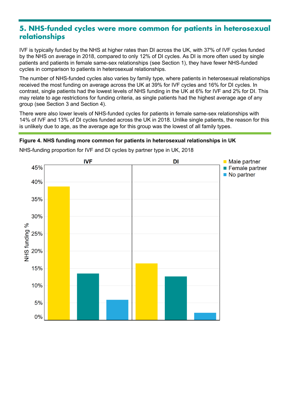## <span id="page-7-0"></span>**5. NHS-funded cycles were more common for patients in heterosexual relationships**

IVF is typically funded by the NHS at higher rates than DI across the UK, with 37% of IVF cycles funded by the NHS on average in 2018, compared to only 12% of DI cycles. As DI is more often used by single patients and patients in female same-sex relationships (see Section 1), they have fewer NHS-funded cycles in comparison to patients in heterosexual relationships.

The number of NHS-funded cycles also varies by family type, where patients in heterosexual relationships received the most funding on average across the UK at 39% for IVF cycles and 16% for DI cycles. In contrast, single patients had the lowest levels of NHS funding in the UK at 6% for IVF and 2% for DI. This may relate to age restrictions for funding criteria, as single patients had the highest average age of any group (see Section 3 and Section 4).

There were also lower levels of NHS-funded cycles for patients in female same-sex relationships with 14% of IVF and 13% of DI cycles funded across the UK in 2018. Unlike single patients, the reason for this is unlikely due to age, as the average age for this group was the lowest of all family types.

#### **Figure 4. NHS funding more common for patients in heterosexual relationships in UK**



NHS-funding proportion for IVF and DI cycles by partner type in UK, 2018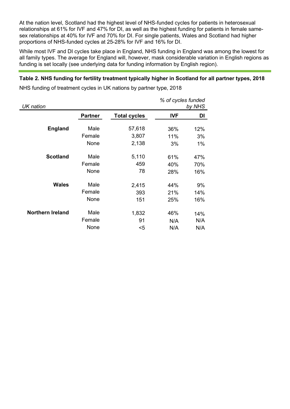At the nation level, Scotland had the highest level of NHS-funded cycles for patients in heterosexual relationships at 61% for IVF and 47% for DI, as well as the highest funding for patients in female samesex relationships at 40% for IVF and 70% for DI. For single patients, Wales and Scotland had higher proportions of NHS-funded cycles at 25-28% for IVF and 16% for DI.

While most IVF and DI cycles take place in England, NHS funding in England was among the lowest for all family types. The average for England will, however, mask considerable variation in English regions as funding is set locally (see underlying data for funding information by English region).

#### **Table 2. NHS funding for fertility treatment typically higher in Scotland for all partner types, 2018**

NHS funding of treatment cycles in UK nations by partner type, 2018

| UK nation               |                |                     | % of cycles funded<br>by NHS |     |
|-------------------------|----------------|---------------------|------------------------------|-----|
|                         | <b>Partner</b> | <b>Total cycles</b> | <b>IVF</b>                   | DI  |
| <b>England</b>          | Male           | 57,618              | 36%                          | 12% |
|                         | Female         | 3,807               | 11%                          | 3%  |
|                         | None           | 2,138               | 3%                           | 1%  |
| <b>Scotland</b>         | Male           | 5,110               | 61%                          | 47% |
|                         | Female         | 459                 | 40%                          | 70% |
|                         | None           | 78                  | 28%                          | 16% |
| <b>Wales</b>            | Male           | 2,415               | 44%                          | 9%  |
|                         | Female         | 393                 | 21%                          | 14% |
|                         | None           | 151                 | 25%                          | 16% |
| <b>Northern Ireland</b> | Male           | 1,832               | 46%                          | 14% |
|                         | Female         | 91                  | N/A                          | N/A |
|                         | None           | $5$                 | N/A                          | N/A |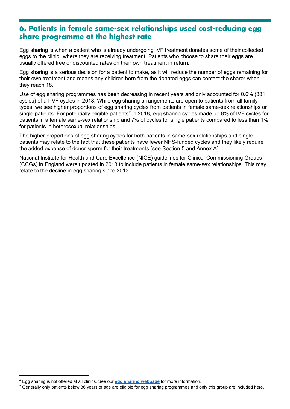## <span id="page-9-0"></span>**6. Patients in female same-sex relationships used cost-reducing egg share programme at the highest rate**

Egg sharing is when a patient who is already undergoing IVF treatment donates some of their collected eggs to the clinic<sup>[6](#page-9-1)</sup> where they are receiving treatment. Patients who choose to share their eggs are usually offered free or discounted rates on their own treatment in return.

Egg sharing is a serious decision for a patient to make, as it will reduce the number of eggs remaining for their own treatment and means any children born from the donated eggs can contact the sharer when they reach 18.

Use of egg sharing programmes has been decreasing in recent years and only accounted for 0.6% (381 cycles) of all IVF cycles in 2018. While egg sharing arrangements are open to patients from all family types, we see higher proportions of egg sharing cycles from patients in female same-sex relationships or single patients. For potentially eligible patients<sup>[7](#page-9-2)</sup> in 2018, egg sharing cycles made up 8% of IVF cycles for patients in a female same-sex relationship and 7% of cycles for single patients compared to less than 1% for patients in heterosexual relationships.

The higher proportions of egg sharing cycles for both patients in same-sex relationships and single patients may relate to the fact that these patients have fewer NHS-funded cycles and they likely require the added expense of donor sperm for their treatments (see Section 5 and Annex A).

National Institute for Health and Care Excellence (NICE) guidelines for Clinical Commissioning Groups (CCGs) in England were updated in 2013 to include patients in female same-sex relationships. This may relate to the decline in egg sharing since 2013.

<span id="page-9-1"></span><sup>6</sup> Egg sharing is not offered at all clinics. See our **[egg sharing webpage](https://www.hfea.gov.uk/donation/donors/egg-sharing/)** for more information.

<span id="page-9-2"></span><sup>&</sup>lt;sup>7</sup> Generally only patients below 36 years of age are eligible for egg sharing programmes and only this group are included here.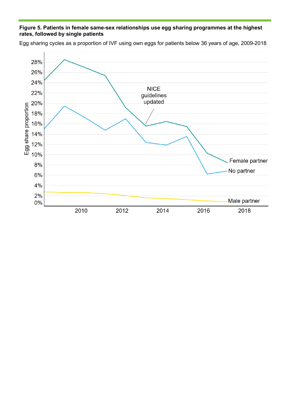#### **Figure 5. Patients in female same-sex relationships use egg sharing programmes at the highest rates, followed by single patients**

28% 26% 24% **NICE** 22% guidelines updated 20% Egg share proportion 18% 16% 14% 12% 10% Female partner 8% No partner 6% 4% 2% Male partner 0% 2010 2012 2014 2016 2018

Egg sharing cycles as a proportion of IVF using own eggs for patients below 36 years of age, 2009-2018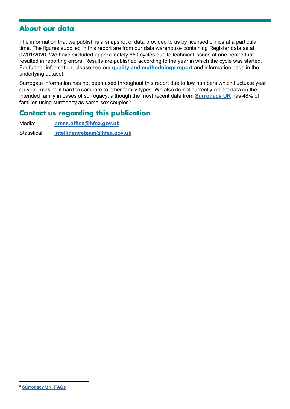## <span id="page-11-0"></span>**About our data**

The information that we publish is a snapshot of data provided to us by licensed clinics at a particular time. The figures supplied in this report are from our data warehouse containing Register data as at 07/01/2020. We have excluded approximately 850 cycles due to technical issues at one centre that resulted in reporting errors. Results are published according to the year in which the cycle was started. For further information, please see our **[quality and methodology report](https://www.hfea.gov.uk/about-us/publications/research-and-data/fertility-treatment-2018-trends-and-figures/fertility-treatment-2018-quality-and-methodology-report/)** and information page in the underlying dataset.

Surrogate information has not been used throughout this report due to low numbers which fluctuate year on year, making it hard to compare to other family types. We also do not currently collect data on the intended family in cases of surrogacy, although the most recent data from **[Surrogacy UK](https://surrogacyuk.org/)** has 48% of families using surrogacy as same-sex couples $^8\!$  $^8\!$  $^8\!$ 

## <span id="page-11-1"></span>**Contact us regarding this publication**

Media: **[press.office@hfea.gov.uk](mailto:press.office@hfea.gov.uk)**

Statistical: **[intelligenceteam@hfea.gov.uk](mailto:intelligenceteam@hfea.gov.uk)**

<span id="page-11-2"></span><sup>8</sup> **[Surrogacy UK: FAQs](https://surrogacyuk.org/faqs/)**